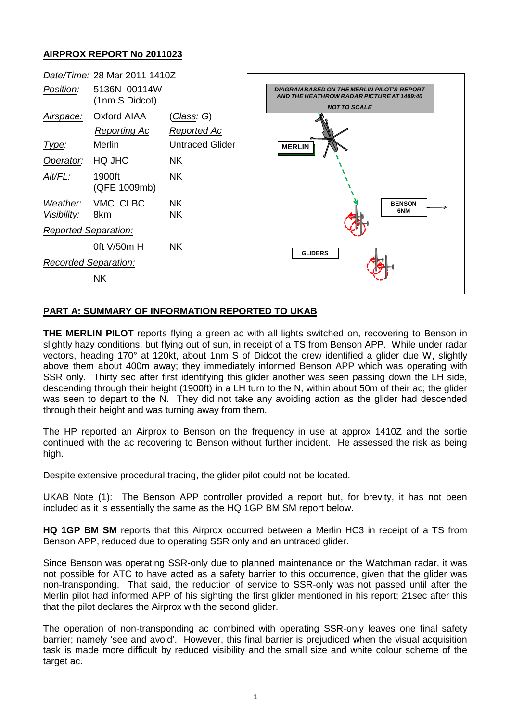## **AIRPROX REPORT No 2011023**



## **PART A: SUMMARY OF INFORMATION REPORTED TO UKAB**

**THE MERLIN PILOT** reports flying a green ac with all lights switched on, recovering to Benson in slightly hazy conditions, but flying out of sun, in receipt of a TS from Benson APP. While under radar vectors, heading 170° at 120kt, about 1nm S of Didcot the crew identified a glider due W, slightly above them about 400m away; they immediately informed Benson APP which was operating with SSR only. Thirty sec after first identifying this glider another was seen passing down the LH side, descending through their height (1900ft) in a LH turn to the N, within about 50m of their ac; the glider was seen to depart to the N. They did not take any avoiding action as the glider had descended through their height and was turning away from them.

The HP reported an Airprox to Benson on the frequency in use at approx 1410Z and the sortie continued with the ac recovering to Benson without further incident. He assessed the risk as being high.

Despite extensive procedural tracing, the glider pilot could not be located.

UKAB Note (1): The Benson APP controller provided a report but, for brevity, it has not been included as it is essentially the same as the HQ 1GP BM SM report below.

**HQ 1GP BM SM** reports that this Airprox occurred between a Merlin HC3 in receipt of a TS from Benson APP, reduced due to operating SSR only and an untraced glider.

Since Benson was operating SSR-only due to planned maintenance on the Watchman radar, it was not possible for ATC to have acted as a safety barrier to this occurrence, given that the glider was non-transponding. That said, the reduction of service to SSR-only was not passed until after the Merlin pilot had informed APP of his sighting the first glider mentioned in his report; 21sec after this that the pilot declares the Airprox with the second glider.

The operation of non-transponding ac combined with operating SSR-only leaves one final safety barrier; namely 'see and avoid'. However, this final barrier is prejudiced when the visual acquisition task is made more difficult by reduced visibility and the small size and white colour scheme of the target ac.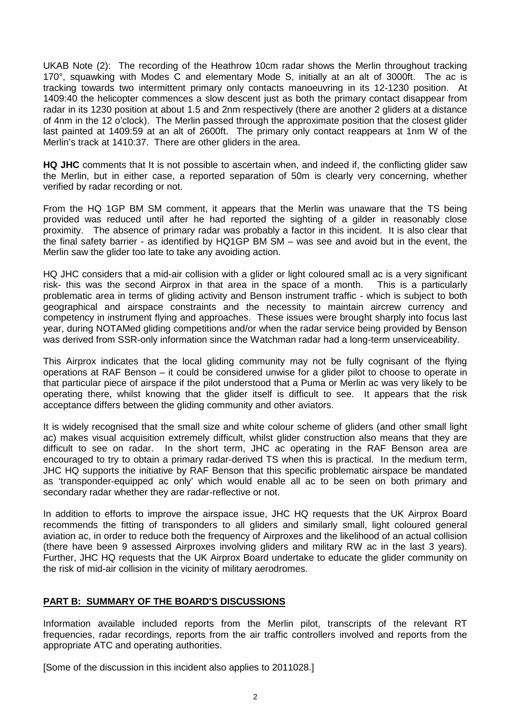UKAB Note (2): The recording of the Heathrow 10cm radar shows the Merlin throughout tracking 170°, squawking with Modes C and elementary Mode S, initially at an alt of 3000ft. The ac is tracking towards two intermittent primary only contacts manoeuvring in its 12-1230 position. At 1409:40 the helicopter commences a slow descent just as both the primary contact disappear from radar in its 1230 position at about 1.5 and 2nm respectively (there are another 2 gliders at a distance of 4nm in the 12 o'clock). The Merlin passed through the approximate position that the closest glider last painted at 1409:59 at an alt of 2600ft. The primary only contact reappears at 1nm W of the Merlin's track at 1410:37. There are other gliders in the area.

**HQ JHC** comments that It is not possible to ascertain when, and indeed if, the conflicting glider saw the Merlin, but in either case, a reported separation of 50m is clearly very concerning, whether verified by radar recording or not.

From the HQ 1GP BM SM comment, it appears that the Merlin was unaware that the TS being provided was reduced until after he had reported the sighting of a gilder in reasonably close proximity. The absence of primary radar was probably a factor in this incident. It is also clear that the final safety barrier - as identified by HQ1GP BM SM – was see and avoid but in the event, the Merlin saw the glider too late to take any avoiding action.

HQ JHC considers that a mid-air collision with a glider or light coloured small ac is a very significant risk- this was the second Airprox in that area in the space of a month. This is a particularly problematic area in terms of gliding activity and Benson instrument traffic - which is subject to both geographical and airspace constraints and the necessity to maintain aircrew currency and competency in instrument flying and approaches. These issues were brought sharply into focus last year, during NOTAMed gliding competitions and/or when the radar service being provided by Benson was derived from SSR-only information since the Watchman radar had a long-term unserviceability.

This Airprox indicates that the local gliding community may not be fully cognisant of the flying operations at RAF Benson – it could be considered unwise for a glider pilot to choose to operate in that particular piece of airspace if the pilot understood that a Puma or Merlin ac was very likely to be operating there, whilst knowing that the glider itself is difficult to see. It appears that the risk acceptance differs between the gliding community and other aviators.

It is widely recognised that the small size and white colour scheme of gliders (and other small light ac) makes visual acquisition extremely difficult, whilst glider construction also means that they are difficult to see on radar. In the short term, JHC ac operating in the RAF Benson area are encouraged to try to obtain a primary radar-derived TS when this is practical. In the medium term, JHC HQ supports the initiative by RAF Benson that this specific problematic airspace be mandated as 'transponder-equipped ac only' which would enable all ac to be seen on both primary and secondary radar whether they are radar-reflective or not.

In addition to efforts to improve the airspace issue, JHC HQ requests that the UK Airprox Board recommends the fitting of transponders to all gliders and similarly small, light coloured general aviation ac, in order to reduce both the frequency of Airproxes and the likelihood of an actual collision (there have been 9 assessed Airproxes involving gliders and military RW ac in the last 3 years). Further, JHC HQ requests that the UK Airprox Board undertake to educate the glider community on the risk of mid-air collision in the vicinity of military aerodromes.

## **PART B: SUMMARY OF THE BOARD'S DISCUSSIONS**

Information available included reports from the Merlin pilot, transcripts of the relevant RT frequencies, radar recordings, reports from the air traffic controllers involved and reports from the appropriate ATC and operating authorities.

[Some of the discussion in this incident also applies to 2011028.]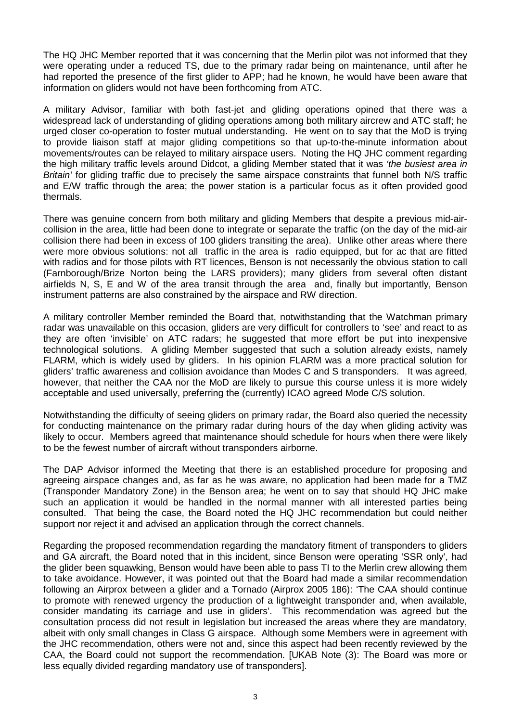The HQ JHC Member reported that it was concerning that the Merlin pilot was not informed that they were operating under a reduced TS, due to the primary radar being on maintenance, until after he had reported the presence of the first glider to APP; had he known, he would have been aware that information on gliders would not have been forthcoming from ATC.

A military Advisor, familiar with both fast-jet and gliding operations opined that there was a widespread lack of understanding of gliding operations among both military aircrew and ATC staff; he urged closer co-operation to foster mutual understanding. He went on to say that the MoD is trying to provide liaison staff at major gliding competitions so that up-to-the-minute information about movements/routes can be relayed to military airspace users. Noting the HQ JHC comment regarding the high military traffic levels around Didcot, a gliding Member stated that it was *'the busiest area in Britain'* for gliding traffic due to precisely the same airspace constraints that funnel both N/S traffic and E/W traffic through the area; the power station is a particular focus as it often provided good thermals.

There was genuine concern from both military and gliding Members that despite a previous mid-aircollision in the area, little had been done to integrate or separate the traffic (on the day of the mid-air collision there had been in excess of 100 gliders transiting the area). Unlike other areas where there were more obvious solutions: not all traffic in the area is radio equipped, but for ac that are fitted with radios and for those pilots with RT licences, Benson is not necessarily the obvious station to call (Farnborough/Brize Norton being the LARS providers); many gliders from several often distant airfields N, S, E and W of the area transit through the area and, finally but importantly, Benson instrument patterns are also constrained by the airspace and RW direction.

A military controller Member reminded the Board that, notwithstanding that the Watchman primary radar was unavailable on this occasion, gliders are very difficult for controllers to 'see' and react to as they are often 'invisible' on ATC radars; he suggested that more effort be put into inexpensive technological solutions. A gliding Member suggested that such a solution already exists, namely FLARM, which is widely used by gliders. In his opinion FLARM was a more practical solution for gliders' traffic awareness and collision avoidance than Modes C and S transponders. It was agreed, however, that neither the CAA nor the MoD are likely to pursue this course unless it is more widely acceptable and used universally, preferring the (currently) ICAO agreed Mode C/S solution.

Notwithstanding the difficulty of seeing gliders on primary radar, the Board also queried the necessity for conducting maintenance on the primary radar during hours of the day when gliding activity was likely to occur. Members agreed that maintenance should schedule for hours when there were likely to be the fewest number of aircraft without transponders airborne.

The DAP Advisor informed the Meeting that there is an established procedure for proposing and agreeing airspace changes and, as far as he was aware, no application had been made for a TMZ (Transponder Mandatory Zone) in the Benson area; he went on to say that should HQ JHC make such an application it would be handled in the normal manner with all interested parties being consulted. That being the case, the Board noted the HQ JHC recommendation but could neither support nor reject it and advised an application through the correct channels.

Regarding the proposed recommendation regarding the mandatory fitment of transponders to gliders and GA aircraft, the Board noted that in this incident, since Benson were operating 'SSR only', had the glider been squawking, Benson would have been able to pass TI to the Merlin crew allowing them to take avoidance. However, it was pointed out that the Board had made a similar recommendation following an Airprox between a glider and a Tornado (Airprox 2005 186): 'The CAA should continue to promote with renewed urgency the production of a lightweight transponder and, when available, consider mandating its carriage and use in gliders'. This recommendation was agreed but the consultation process did not result in legislation but increased the areas where they are mandatory, albeit with only small changes in Class G airspace. Although some Members were in agreement with the JHC recommendation, others were not and, since this aspect had been recently reviewed by the CAA, the Board could not support the recommendation. [UKAB Note (3): The Board was more or less equally divided regarding mandatory use of transponders].